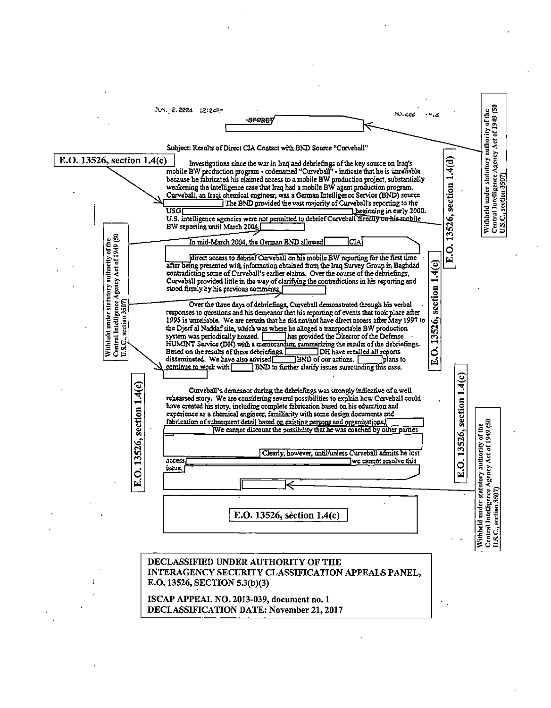